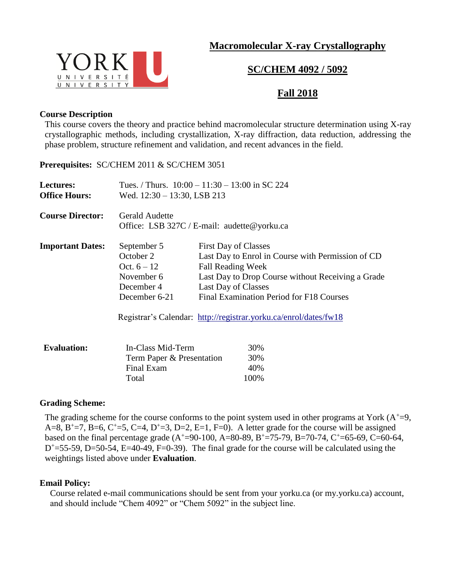# **Macromolecular X-ray Crystallography**



# **SC/CHEM 4092 / 5092**

# **Fall 2018**

### **Course Description**

This course covers the theory and practice behind macromolecular structure determination using X-ray crystallographic methods, including crystallization, X-ray diffraction, data reduction, addressing the phase problem, structure refinement and validation, and recent advances in the field.

**Prerequisites:** SC/CHEM 2011 & SC/CHEM 3051

| Lectures:               | Tues. / Thurs. $10:00 - 11:30 - 13:00$ in SC 224                     |                                                   |
|-------------------------|----------------------------------------------------------------------|---------------------------------------------------|
| <b>Office Hours:</b>    | Wed. $12:30 - 13:30$ , LSB 213                                       |                                                   |
| <b>Course Director:</b> | <b>Gerald Audette</b><br>Office: LSB 327C / E-mail: audette@yorku.ca |                                                   |
| <b>Important Dates:</b> | September 5                                                          | <b>First Day of Classes</b>                       |
|                         | October 2                                                            | Last Day to Enrol in Course with Permission of CD |
|                         | Oct. $6 - 12$                                                        | <b>Fall Reading Week</b>                          |
|                         | November 6                                                           | Last Day to Drop Course without Receiving a Grade |
|                         | December 4                                                           | Last Day of Classes                               |
|                         | December 6-21                                                        | Final Examination Period for F18 Courses          |
|                         | Registrar's Calendar: http://registrar.yorku.ca/enrol/dates/fw18     |                                                   |
| <b>Evaluation:</b>      | In-Class Mid-Term                                                    | 30%                                               |
|                         | Term Paper & Presentation                                            | 30%                                               |
|                         | Final Exam                                                           | 40%                                               |

Total 100%

### **Grading Scheme:**

The grading scheme for the course conforms to the point system used in other programs at York  $(A<sup>+</sup>=9,$ A=8, B<sup>+</sup>=7, B=6, C<sup>+</sup>=5, C=4, D<sup>+</sup>=3, D=2, E=1, F=0). A letter grade for the course will be assigned based on the final percentage grade  $(A<sup>+</sup>=90-100, A=80-89, B<sup>+</sup>=75-79, B=70-74, C<sup>+</sup>=65-69, C=60-64,$  $D^+=$  55-59, D=50-54, E=40-49, F=0-39). The final grade for the course will be calculated using the weightings listed above under **Evaluation**.

### **Email Policy:**

Course related e-mail communications should be sent from your yorku.ca (or my.yorku.ca) account, and should include "Chem 4092" or "Chem 5092" in the subject line.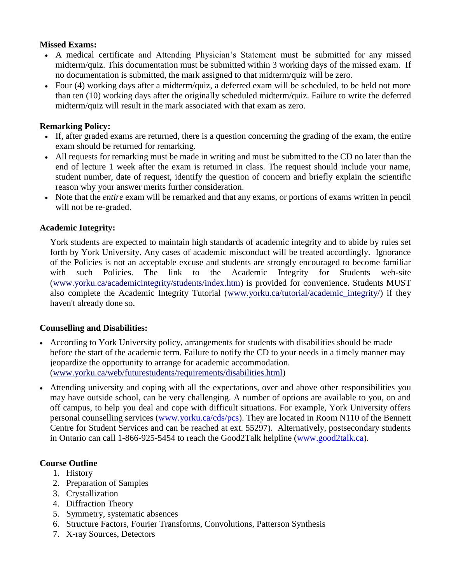## **Missed Exams:**

- A medical certificate and Attending Physician's Statement must be submitted for any missed midterm/quiz. This documentation must be submitted within 3 working days of the missed exam. If no documentation is submitted, the mark assigned to that midterm/quiz will be zero.
- Four (4) working days after a midterm/quiz, a deferred exam will be scheduled, to be held not more than ten (10) working days after the originally scheduled midterm/quiz. Failure to write the deferred midterm/quiz will result in the mark associated with that exam as zero.

# **Remarking Policy:**

- If, after graded exams are returned, there is a question concerning the grading of the exam, the entire exam should be returned for remarking.
- All requests for remarking must be made in writing and must be submitted to the CD no later than the end of lecture 1 week after the exam is returned in class. The request should include your name, student number, date of request, identify the question of concern and briefly explain the scientific reason why your answer merits further consideration.
- Note that the *entire* exam will be remarked and that any exams, or portions of exams written in pencil will not be re-graded.

# **Academic Integrity:**

York students are expected to maintain high standards of academic integrity and to abide by rules set forth by York University. Any cases of academic misconduct will be treated accordingly. Ignorance of the Policies is not an acceptable excuse and students are strongly encouraged to become familiar with such Policies. The link to the Academic Integrity for Students web-site [\(www.yorku.ca/academicintegrity/students/index.htm\)](http://www.yorku.ca/academicintegrity/students/index.htm) is provided for convenience. Students MUST also complete the Academic Integrity Tutorial [\(www.yorku.ca/tutorial/academic\\_integrity/\)](http://www.yorku.ca/tutorial/academic_integrity/) if they haven't already done so.

# **Counselling and Disabilities:**

- According to York University policy, arrangements for students with disabilities should be made before the start of the academic term. Failure to notify the CD to your needs in a timely manner may jeopardize the opportunity to arrange for academic accommodation. [\(www.yorku.ca/web/futurestudents/requirements/disabilities.html\)](http://www.yorku.ca/web/futurestudents/requirements/disabilities.html)
- Attending university and coping with all the expectations, over and above other responsibilities you may have outside school, can be very challenging. A number of options are available to you, on and off campus, to help you deal and cope with difficult situations. For example, York University offers personal counselling services (www.yorku.ca/cds/pcs). They are located in Room N110 of the Bennett Centre for Student Services and can be reached at ext. 55297). Alternatively, postsecondary students in Ontario can call 1-866-925-5454 to reach the Good2Talk helpline (www.good2talk.ca).

# **Course Outline**

- 1. History
- 2. Preparation of Samples
- 3. Crystallization
- 4. Diffraction Theory
- 5. Symmetry, systematic absences
- 6. Structure Factors, Fourier Transforms, Convolutions, Patterson Synthesis
- 7. X-ray Sources, Detectors